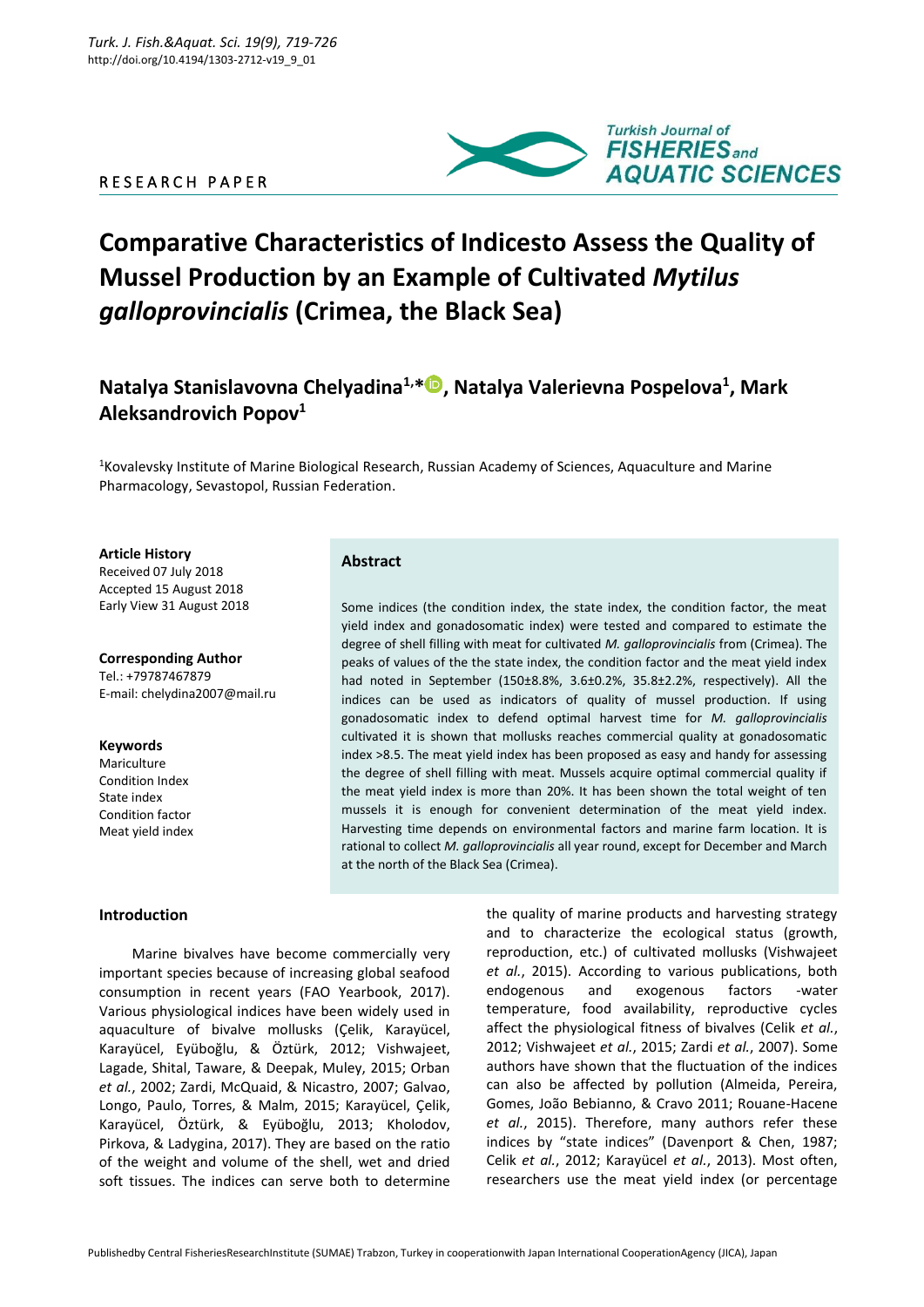### R E S E A R C H P A P E R



# **Сomparative Characteristics of Indicesto Assess the Quality of Mussel Production by an Example of Cultivated** *Mytilus galloprovincialis* **(Сrimea, the Вlack Sea)**

## **Natalya Stanislavovna Chelyadina1,\* , Natalya Valerievna Pospelova<sup>1</sup> , Mark Aleksandrovich Popov<sup>1</sup>**

<sup>1</sup>Kovalevsky Institute of Marine Biological Research, Russian Academy of Sciences, Aquaculture and Marine Pharmacology, Sevastopol, Russian Federation.

#### **Article History**

Received 07 July 2018 Accepted 15 August 2018 Early View 31 August 2018

**Corresponding Author** Tel.: +79787467879 E-mail: chelydina2007@mail.ru

**Keywords** Mariculture Condition Index State index Condition factor

Meat yield index

#### **Introduction**

Marine bivalves have become commercially very important species because of increasing global seafood consumption in recent years (FAO Yearbook, 2017). Various physiological indices have been widely used in aquaculture of bivalve mollusks (Çelik, Karayücel, Karayücel, Eyüboğlu, & Öztürk, 2012; Vishwajeet, Lagade, Shital, Taware, & Deepak, Muley, 2015; Orban *et al.*, 2002; Zardi, McQuaid, & Nicastro, 2007; Galvao, Longo, Paulo, Torres, & Malm, 2015; Karayücel, Çelik, Karayücel, Öztürk, & Eyüboğlu, 2013; Kholodov, Pirkova, & Ladygina, 2017). They are based on the ratio of the weight and volume of the shell, wet and dried soft tissues. The indices can serve both to determine

**Abstract**

Some indices (the condition index, the state index, the condition factor, the meat yield index and gonadosomatic index) were tested and compared to estimate the degree of shell filling with meat for cultivated *M. galloprovincialis* from (Crimea). The peaks of values of the the state index, the condition factor and the meat yield index had noted in September (150±8.8%, 3.6±0.2%, 35.8±2.2%, respectively). All the indices can be used as indicators of quality of mussel production. If using gonadosomatic index to defend optimal harvest time for *M. galloprovincialis* cultivated it is shown that mollusks reaches commercial quality at gonadosomatic index >8.5. The meat yield index has been proposed as easy and handy for assessing the degree of shell filling with meat. Mussels acquire optimal commercial quality if the meat yield index is more than 20%. It has been shown the total weight of ten mussels it is enough for convenient determination of the meat yield index. Harvesting time depends on environmental factors and marine farm location. It is rational to collect *M. galloprovincialis* all year round, except for December and March at the north of the Black Sea (Crimea).

> the quality of marine products and harvesting strategy and to characterize the ecological status (growth, reproduction, etc.) of cultivated mollusks (Vishwajeet *et al.*, 2015). According to various publications, both endogenous and exogenous factors -water temperature, food availability, reproductive cycles affect the physiological fitness of bivalves (Celik *et al.*, 2012; Vishwajeet *et al.*, 2015; Zardi *et al.*, 2007). Some authors have shown that the fluctuation of the indices can also be affected by pollution (Almeida, Pereira, Gomes, João Bebianno, & Cravo 2011; Rouane-Hacene *et al.*, 2015). Therefore, many authors refer these indices by "state indices" (Davenport & Chen, 1987; Celik *et al.*, 2012; Karayücel *et al.*, 2013). Most often, researchers use the meat yield index (or percentage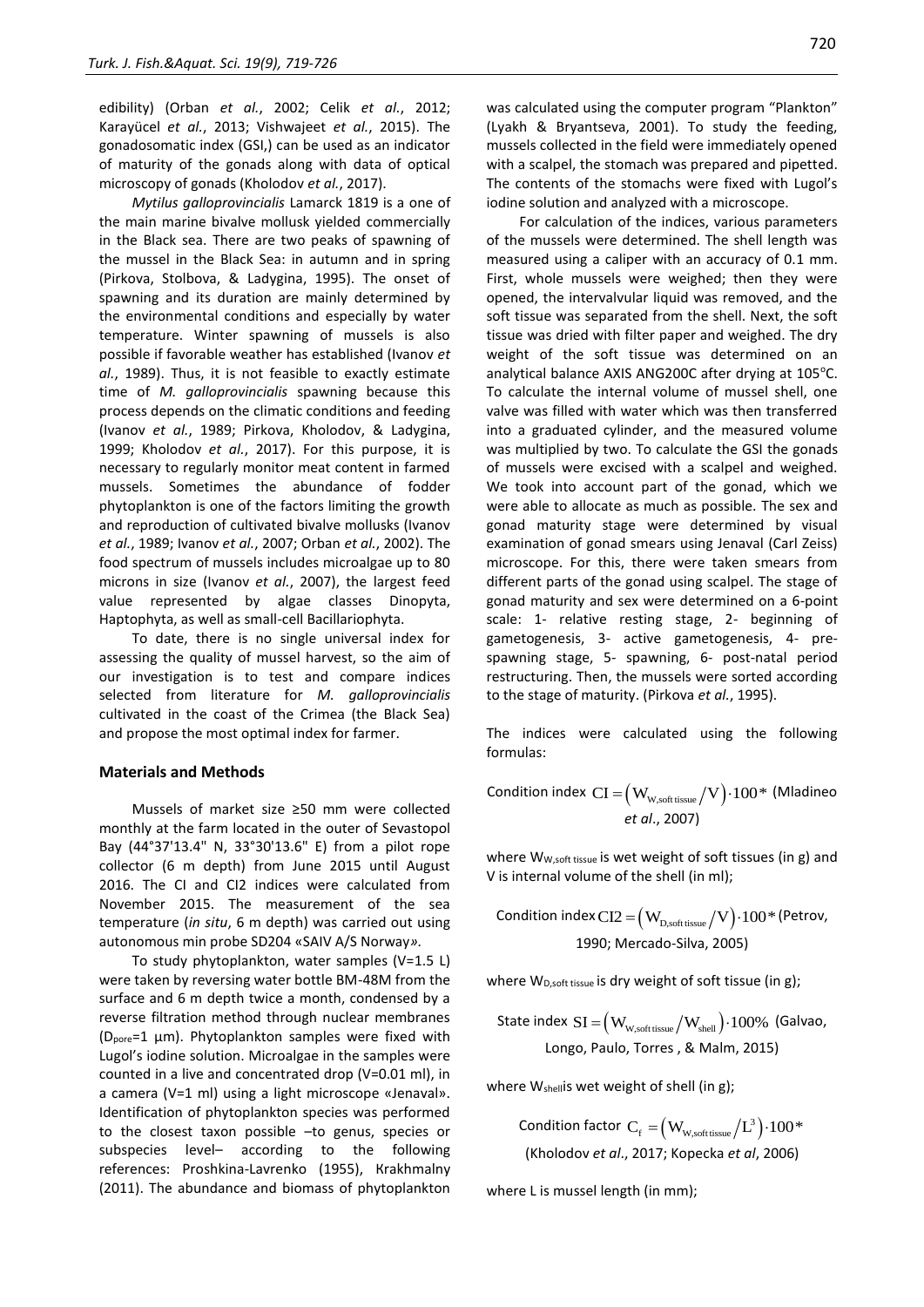edibility) (Orban *et al.*, 2002; Celik *et al.*, 2012; Karayücel *et al.*, 2013; Vishwajeet *et al.*, 2015). The gonadosomatic index (GSI,) can be used as an indicator of maturity of the gonads along with data of optical microscopy of gonads (Kholodov *et al.*, 2017).

*Mytilus galloprovincialis* Lamarck 1819 is a one of the main marine bivalve mollusk yielded commercially in the Black sea. There are two peaks of spawning of the mussel in the Black Sea: in autumn and in spring (Pirkova, Stolbova, & Ladygina, 1995). The onset of spawning and its duration are mainly determined by the environmental conditions and especially by water temperature. Winter spawning of mussels is also possible if favorable weather has established (Ivanov *et al.*, 1989). Thus, it is not feasible to exactly estimate time of *M. galloprovincialis* spawning because this process depends on the climatic conditions and feeding (Ivanov *et al.*, 1989; Pirkova, Kholodov, & Ladygina, 1999; Kholodov *et al.*, 2017). For this purpose, it is necessary to regularly monitor meat content in farmed mussels. Sometimes the abundance of fodder phytoplankton is one of the factors limiting the growth and reproduction of cultivated bivalve mollusks (Ivanov *et al.*, 1989; Ivanov *et al.*, 2007; Orban *et al.*, 2002). The food spectrum of mussels includes microalgae up to 80 microns in size (Ivanov *et al.*, 2007), the largest feed value represented by algae classes Dinopyta, Haptophyta, as well as small-cell Bacillariophyta.

To date, there is no single universal index for assessing the quality of mussel harvest, so the aim of our investigation is to test and compare indices selected from literature for *M. galloprovincialis* cultivated in the coast of the Crimea (the Black Sea) and propose the most optimal index for farmer.

#### **Materials and Methods**

Mussels of market size ≥50 mm were collected monthly at the farm located in the outer of Sevastopol Bay (44°37'13.4" N, 33°30'13.6" E) from a pilot rope collector (6 m depth) from June 2015 until August 2016. The CI and CI2 indices were calculated from November 2015. The measurement of the sea temperature (*in situ*, 6 m depth) was carried out using autonomous min probe SD204 «SAIV A/S Norway*».*

To study phytoplankton, water samples (V=1.5 L) were taken by reversing water bottle BM-48M from the surface and 6 m depth twice a month, condensed by a reverse filtration method through nuclear membranes (Dpore=1 μm). Phytoplankton samples were fixed with Lugol's iodine solution. Microalgae in the samples were counted in a live and concentrated drop (V=0.01 ml), in a camera (V=1 ml) using a light microscope «Jenaval». Identification of phytoplankton species was performed to the closest taxon possible –to genus, species or subspecies level– according to the following references: Proshkina-Lavrenko (1955), Кrakhmalny (2011). The abundance and biomass of phytoplankton was calculated using the computer program "Plankton" (Lyakh & Bryantseva, 2001). To study the feeding, mussels collected in the field were immediately opened with a scalpel, the stomach was prepared and pipetted. The contents of the stomachs were fixed with Lugol's iodine solution and analyzed with a microscope.

For calculation of the indices, various parameters of the mussels were determined. The shell length was measured using a caliper with an accuracy of 0.1 mm. First, whole mussels were weighed; then they were opened, the intervalvular liquid was removed, and the soft tissue was separated from the shell. Next, the soft tissue was dried with filter paper and weighed. The dry weight of the soft tissue was determined on an analytical balance AXIS ANG200C after drying at 105°C. To calculate the internal volume of mussel shell, one valve was filled with water which was then transferred into a graduated cylinder, and the measured volume was multiplied by two. To calculate the GSI the gonads of mussels were excised with a scalpel and weighed. We took into account part of the gonad, which we were able to allocate as much as possible. The sex and gonad maturity stage were determined by visual examination of gonad smears using Jenaval (Carl Zeiss) microscope. For this, there were taken smears from different parts of the gonad using scalpel. The stage of gonad maturity and sex were determined on a 6-point scale: 1- relative resting stage, 2- beginning of gametogenesis, 3- active gametogenesis, 4- prespawning stage, 5- spawning, 6- post-natal period restructuring. Then, the mussels were sorted according to the stage of maturity. (Pirkova *et al.*, 1995).

The indices were calculated using the following formulas:

Condition index  $\text{CI} = (\text{W}_{\text{W}, \text{soft tissue}}/ \text{V}) \cdot 100*$  (Mladineo *et al*., 2007)

where W<sub>W,soft tissue</sub> is wet weight of soft tissues (in g) and V is internal volume of the shell (in ml);

Condition index  $\text{CI2} = (\text{W}_{\text{\tiny D,soft tissue}}/\text{V}) \cdot 100*$  (Petrov, 1990; Mercado-Silva, 2005)

where W<sub>D,soft tissue</sub> is dry weight of soft tissue (in g);

State index  $SI = \left(W_{\rm W, soft\, tissue}/W_{\rm shell}\right) \cdot 100\%$  (Galvao, Longo, Paulo, Torres , & Malm, 2015)

where W<sub>shell</sub>is wet weight of shell (in g);

Condition factor  $\mathrm{C_{f}}=\left(\mathrm{W_{w,soft\,issue}}\bigl/L^{3}\bigr){\cdot}100*$ (Kholodov *et al*., 2017; Kopecka *et al*, 2006)

where L is mussel length (in mm);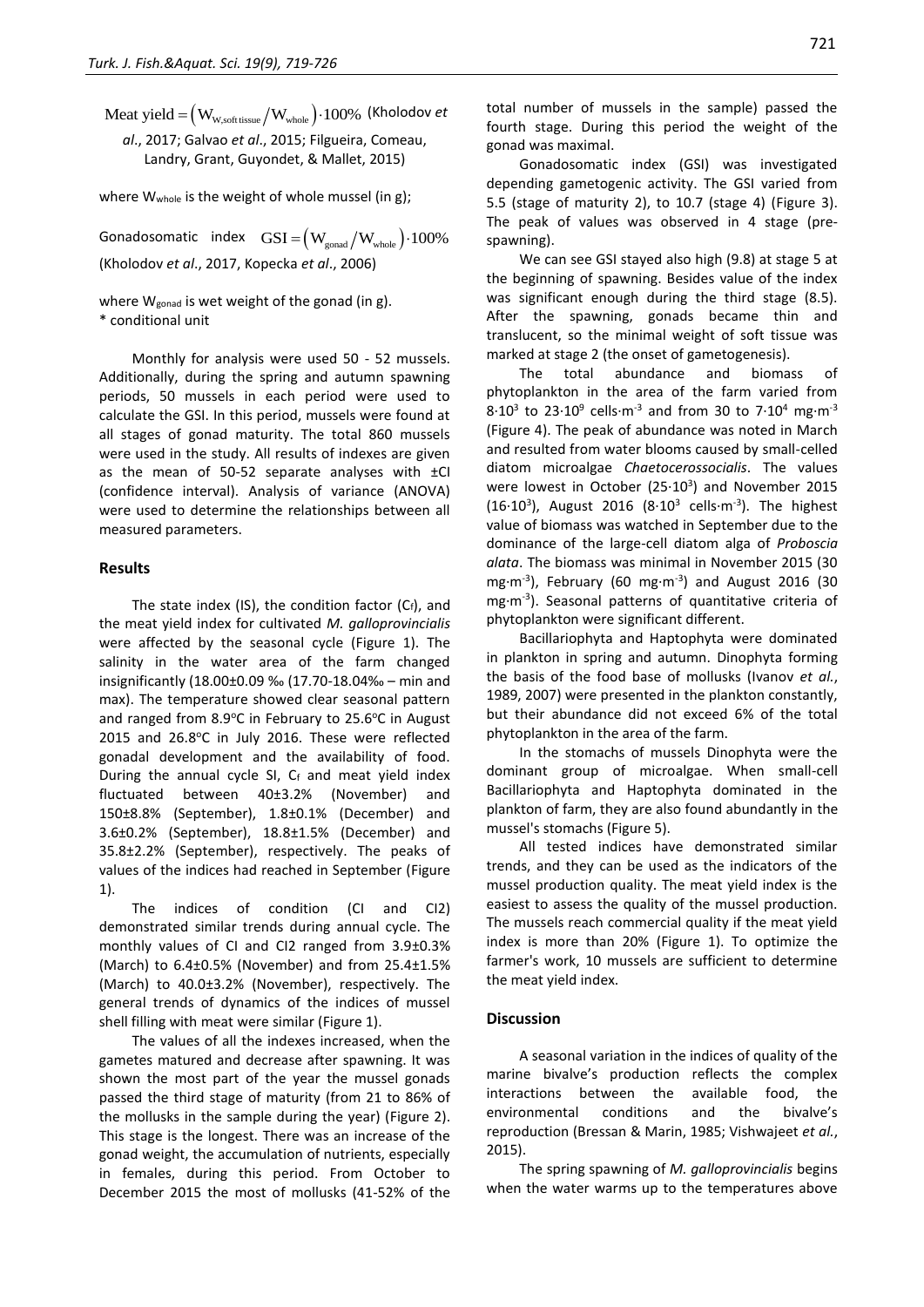$\text{Meat yield} = (\text{W}_{\text{w}, \text{soft tissue}} / \text{W}_{\text{whole}}) \cdot 100\%$  (Kholodov *et al*., 2017; Galvao *et al*., 2015[; Filgueira, Comeau,](https://www.sciencedirect.com/science/article/pii/S1470160X12003524#%21) [Landry,](https://www.sciencedirect.com/science/article/pii/S1470160X12003524#%21) [Grant,](https://www.sciencedirect.com/science/article/pii/S1470160X12003524#%21) [Guyondet,](https://www.sciencedirect.com/science/article/pii/S1470160X12003524#%21) & [Mallet,](https://www.sciencedirect.com/science/article/pii/S1470160X12003524#%21) 2015)

where W<sub>whole</sub> is the weight of whole mussel (in g);

Gonadosomatic index  $\text{GSI} = \left(\text{W}_{\text{gonad}}\big/\text{W}_{\text{whole}}\right)\cdot 100\%$ (Kholodov *et al*., 2017, Kopecka *et al*., 2006)

where W<sub>gonad</sub> is wet weight of the gonad (in g). \* conditional unit

Monthly for analysis were used 50 - 52 mussels. Additionally, during the spring and autumn spawning periods, 50 mussels in each period were used to calculate the GSI. In this period, mussels were found at all stages of gonad maturity. The total 860 mussels were used in the study. All results of indexes are given as the mean of 50-52 separate analyses with ±CI (confidence interval). Аnalysis of variance (ANOVA) were used to determine the relationships between all measured parameters.

#### **Results**

The state index (IS), the condition factor  $(C_f)$ , and the meat yield index for cultivated *M. galloprovincialis* were affected by the seasonal cycle (Figure 1). The salinity in the water area of the farm changed insignificantly (18.00±0.09 ‰ (17.70-18.04‰ – min and max). The temperature showed clear seasonal pattern and ranged from  $8.9^{\circ}$ C in February to  $25.6^{\circ}$ C in August 2015 and 26.8°C in July 2016. These were reflected gonadal development and the availability of food. During the annual cycle SI,  $C_f$  and meat yield index fluctuated between 40±3.2% (November) and 150±8.8% (September), 1.8±0.1% (December) and 3.6±0.2% (September), 18.8±1.5% (December) and 35.8±2.2% (September), respectively. The peaks of values of the indices had reached in September (Figure 1).

The indices of condition (CI and CI2) demonstrated similar trends during annual cycle. The monthly values of CI and CI2 ranged from 3.9±0.3% (March) to 6.4±0.5% (November) and from 25.4±1.5% (March) to 40.0±3.2% (November), respectively. The general trends of dynamics of the indices of mussel shell filling with meat were similar (Figure 1).

The values of all the indexes increased, when the gametes matured and decrease after spawning. It was shown the most part of the year the mussel gonads passed the third stage of maturity (from 21 to 86% of the mollusks in the sample during the year) (Figure 2). This stage is the longest. There was an increase of the gonad weight, the accumulation of nutrients, especially in females, during this period. From October to December 2015 the most of mollusks (41-52% of the total number of mussels in the sample) passed the fourth stage. During this period the weight of the gonad was maximal.

Gonadosomatic index (GSI) was investigated depending gametogenic activity. The GSI varied from 5.5 (stage of maturity 2), to 10.7 (stage 4) (Figure 3). The peak of values was observed in 4 stage (prespawning).

We can see GSI stayed also high (9.8) at stage 5 at the beginning of spawning. Besides value of the index was significant enough during the third stage (8.5). After the spawning, gonads became thin and translucent, so the minimal weight of soft tissue was marked at stage 2 (the onset of gametogenesis).

The total abundance and biomass of phytoplankton in the area of the farm varied from  $8.10^3$  to 23 $\cdot 10^9$  cells $\cdot$ m<sup>-3</sup> and from 30 to 7 $\cdot 10^4$  mg $\cdot$ m<sup>-3</sup> (Figure 4). The peak of abundance was noted in March and resulted from water blooms caused by small-celled diatom microalgae *Chaetocerossocialis*. The values were lowest in October ( $25·10<sup>3</sup>$ ) and November 2015  $(16.10^3)$ , August 2016  $(8.10^3 \text{ cells} \cdot \text{m}^{-3})$ . The highest value of biomass was watched in September due to the dominance of the large-cell diatom alga of *Proboscia alata*. The biomass was minimal in November 2015 (30 mg·m<sup>-3</sup>), February (60 mg·m<sup>-3</sup>) and August 2016 (30 mg·m-3 ). Seasonal patterns of quantitative criteria of phytoplankton were significant different.

Bacillariophyta and Haptophyta were dominated in plankton in spring and autumn. Dinophyta forming the basis of the food base of mollusks (Ivanov *et al.*, 1989, 2007) were presented in the plankton constantly, but their abundance did not exceed 6% of the total phytoplankton in the area of the farm.

In the stomachs of mussels Dinophyta were the dominant group of microalgae. When small-cell Bacillariophyta and Haptophyta dominated in the plankton of farm, they are also found abundantly in the mussel's stomachs (Figure 5).

All tested indices have demonstrated similar trends, and they can be used as the indicators of the mussel production quality. The meat yield index is the easiest to assess the quality of the mussel production. The mussels reach commercial quality if the meat yield index is more than 20% (Figure 1). To optimize the farmer's work, 10 mussels are sufficient to determine the meat yield index.

#### **Discussion**

A seasonal variation in the indices of quality of the marine bivalve's production reflects the complex interactions between the available food, the environmental conditions and the bivalve's reproduction (Bressan & Marin, 1985; Vishwajeet *et al.*, 2015).

The spring spawning of *M. galloprovincialis* begins when the water warms up to the temperatures above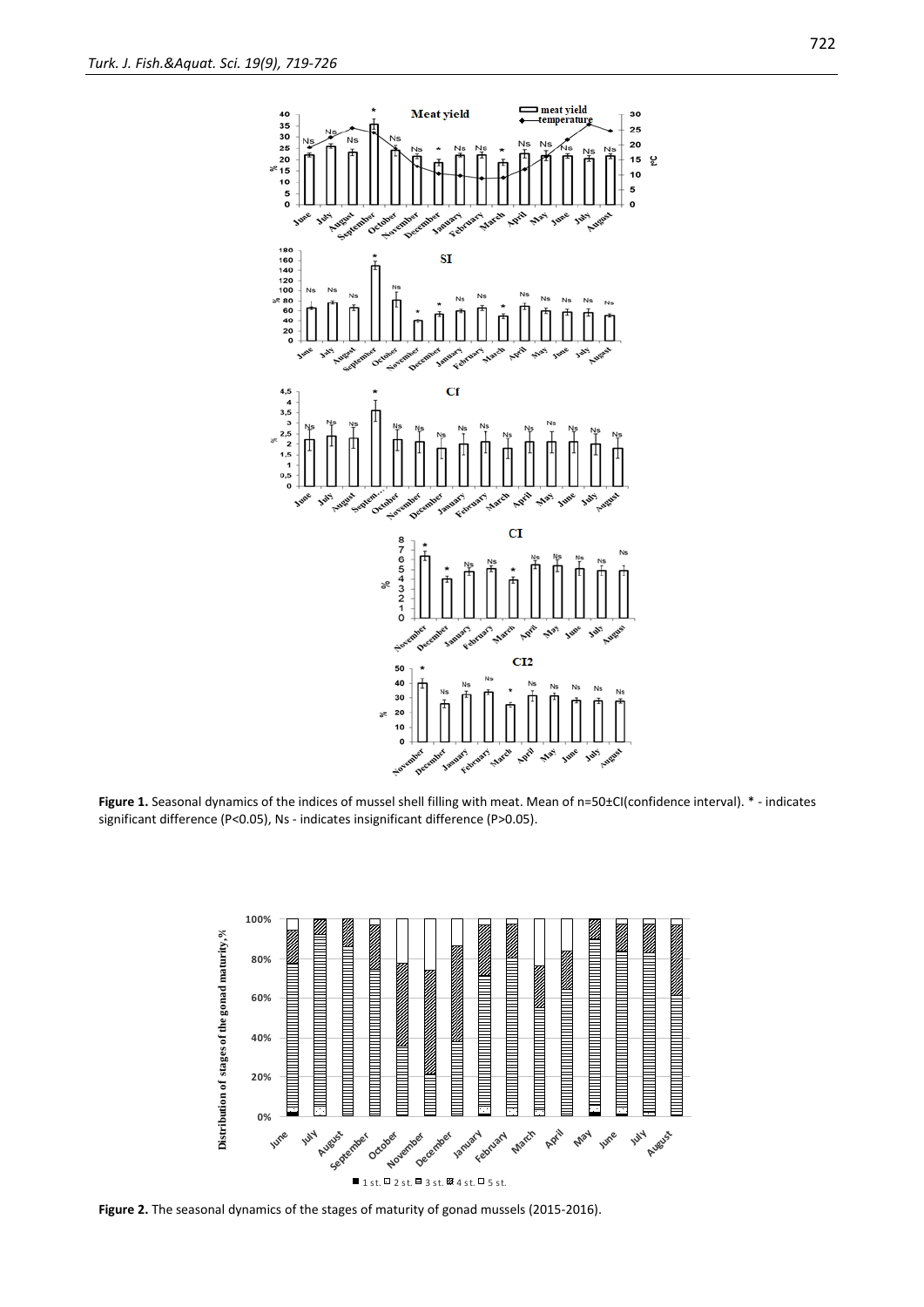

**Figure 1.** Seasonal dynamics of the indices of mussel shell filling with meat. Mean of n=50±CI(confidence interval). \* - indicates significant difference (P<0.05), Ns - indicates insignificant difference (P>0.05).



Figure 2. The seasonal dynamics of the stages of maturity of gonad mussels (2015-2016).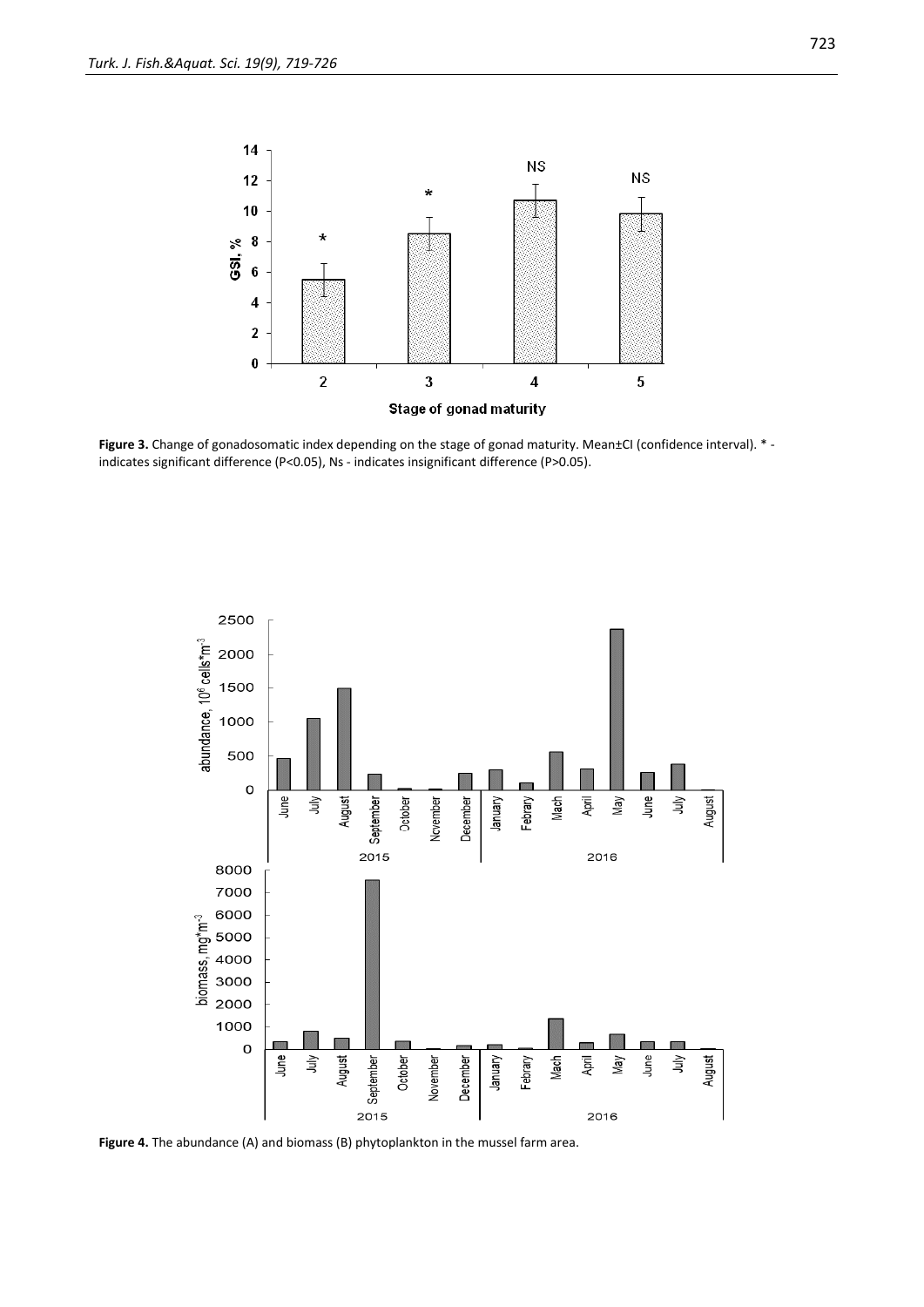

Figure 3. Change of gonadosomatic index depending on the stage of gonad maturity. Mean±CI (confidence interval). \*indicates significant difference (P<0.05), Ns - indicates insignificant difference (P>0.05).



**Figure 4.** The abundance (A) and biomass (B) phytoplankton in the mussel farm area.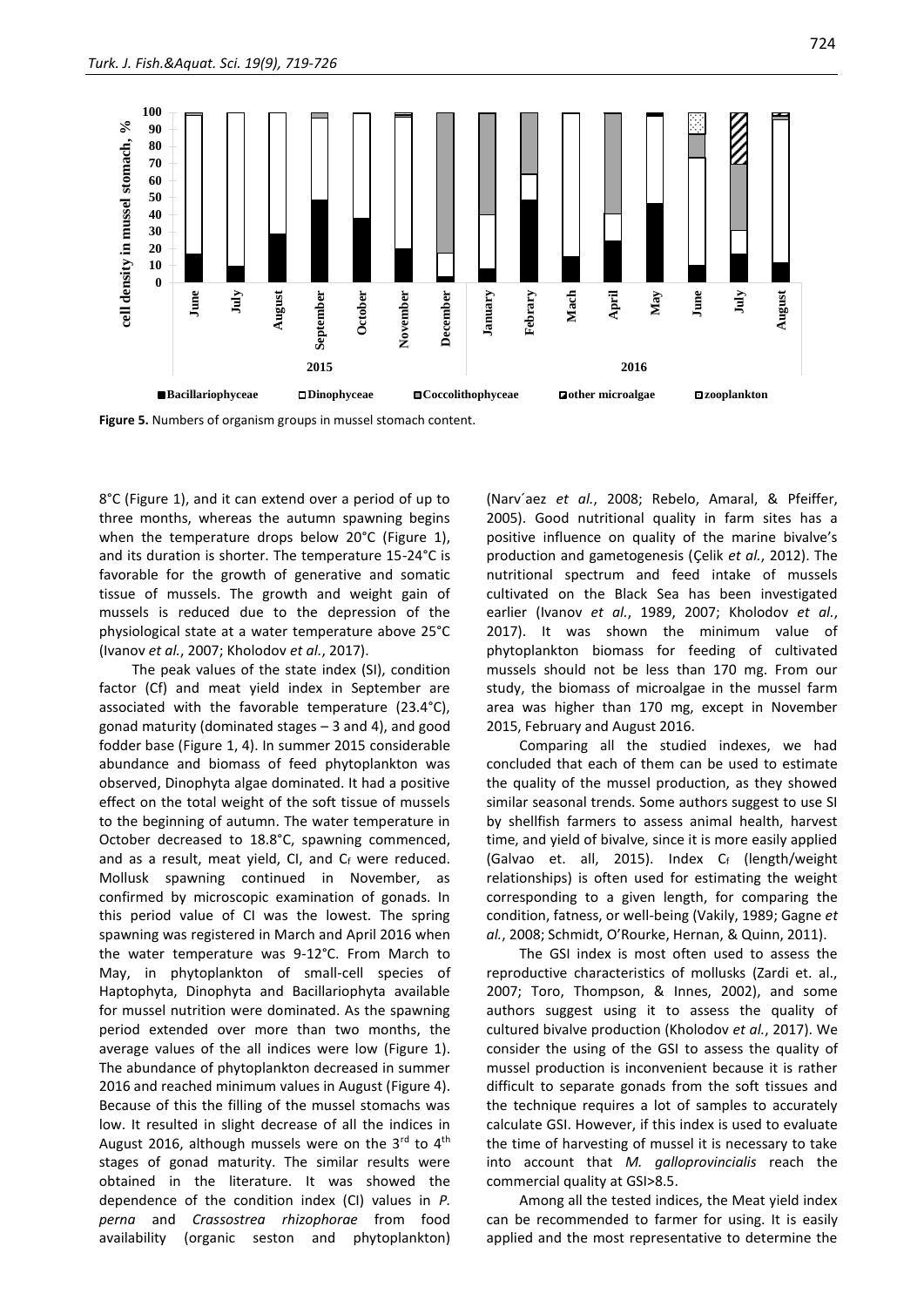

**Figure 5.** Numbers of organism groups in mussel stomach content.

8°C (Figure 1), and it can extend over a period of up to three months, whereas the autumn spawning begins when the temperature drops below 20°C (Figure 1), and its duration is shorter. The temperature 15-24°C is favorable for the growth of generative and somatic tissue of mussels. The growth and weight gain of mussels is reduced due to the depression of the physiological state at a water temperature above 25°C (Ivanov *et al.*, 2007; Kholodov *et al.*, 2017).

The peak values of the state index (SI), condition factor (Cf) and meat yield index in September are associated with the favorable temperature (23.4°C), gonad maturity (dominated stages – 3 and 4), and good fodder base (Figure 1, 4). In summer 2015 considerable abundance and biomass of feed phytoplankton was observed, Dinophyta algae dominated. It had a positive effect on the total weight of the soft tissue of mussels to the beginning of autumn. The water temperature in October decreased to 18.8°C, spawning commenced, and as a result, meat yield, CI, and Cf were reduced. Mollusk spawning continued in November, as confirmed by microscopic examination of gonads. In this period value of CI was the lowest. The spring spawning was registered in March and April 2016 when the water temperature was 9-12°C. From March to May, in phytoplankton of small-cell species of Haptophyta, Dinophyta and Bacillariophyta available for mussel nutrition were dominated. As the spawning period extended over more than two months, the average values of the all indices were low (Figure 1). The abundance of phytoplankton decreased in summer 2016 and reached minimum values in August (Figure 4). Because of this the filling of the mussel stomachs was low. It resulted in slight decrease of all the indices in August 2016, although mussels were on the  $3<sup>rd</sup>$  to  $4<sup>th</sup>$ stages of gonad maturity. The similar results were obtained in the literature. It was showed the dependence of the condition index (CI) values in *P. perna* and *Crassostrea rhizophorae* from food availability (organic seston and phytoplankton) (Narv´aez *et al.*, 2008; Rebelo, Amaral, & Pfeiffer, 2005). Good nutritional quality in farm sites has a positive influence on quality of the marine bivalve's production and gametogenesis (Çelik *et al.*, 2012). The nutritional spectrum and feed intake of mussels cultivated on the Black Sea has been investigated earlier (Ivanov *et al.*, 1989, 2007; Kholodov *et al.*, 2017). It was shown the minimum value of phytoplankton biomass for feeding of cultivated mussels should not be less than 170 mg. From our study, the biomass of microalgae in the mussel farm area was higher than 170 mg, except in November 2015, February and August 2016.

Comparing all the studied indexes, we had concluded that each of them can be used to estimate the quality of the mussel production, as they showed similar seasonal trends. Some authors suggest to use SI by shellfish farmers to assess animal health, harvest time, and yield of bivalve, since it is more easily applied (Galvao et. all, 2015). Index Cf (length/weight relationships) is often used for estimating the weight corresponding to a given length, for comparing the condition, fatness, or well-being (Vakily, 1989; Gagne *et al.*, 2008; Schmidt, O'Rourke, Hernan, & Quinn, 2011).

The GSI index is most often used to assess the reproductive characteristics of mollusks (Zardi et. al., 2007; Toro, Thompson, & Innes, 2002), and some authors suggest using it to assess the quality of cultured bivalve production (Kholodov *et al.*, 2017). We consider the using of the GSI to assess the quality of mussel production is inconvenient because it is rather difficult to separate gonads from the soft tissues and the technique requires a lot of samples to accurately calculate GSI. However, if this index is used to evaluate the time of harvesting of mussel it is necessary to take into account that *M. galloprovincialis* reach the commercial quality at GSI>8.5.

Among all the tested indices, the Meat yield index can be recommended to farmer for using. It is easily applied and the most representative to determine the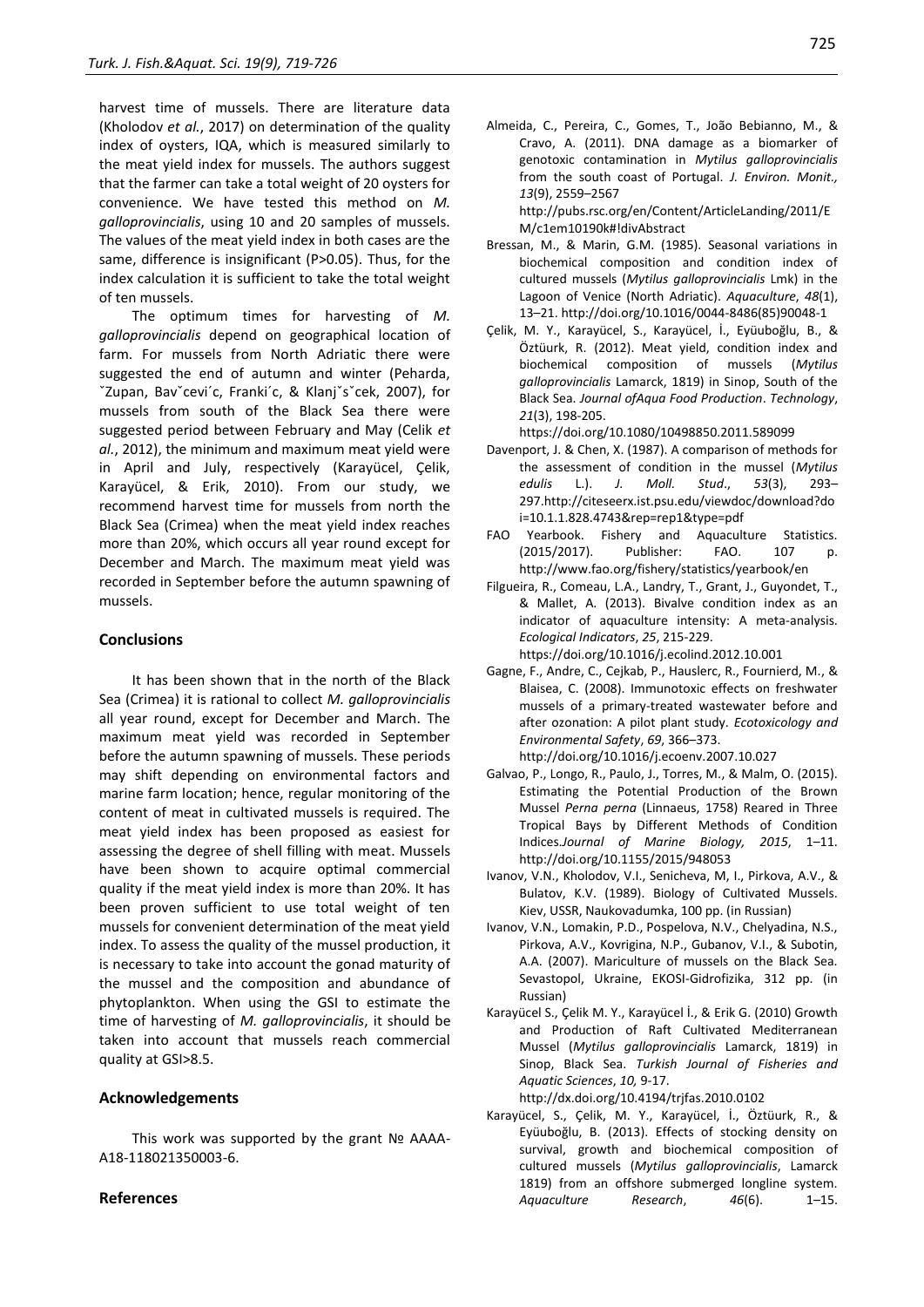harvest time of mussels. There are literature data (Kholodov *et al.*, 2017) on determination of the quality index of oysters, IQA, which is measured similarly to the meat yield index for mussels. The authors suggest that the farmer can take a total weight of 20 oysters for convenience. We have tested this method on *M. galloprovincialis*, using 10 and 20 samples of mussels. The values of the meat yield index in both cases are the same, difference is insignificant (P>0.05). Thus, for the index calculation it is sufficient to take the total weight of ten mussels.

The optimum times for harvesting of *M. galloprovincialis* depend on geographical location of farm. For mussels from North Adriatic there were suggested the end of autumn and winter (Peharda, ˇZupan, Bavˇcevi´c, Franki´c, & Klanjˇsˇcek, 2007), for mussels from south of the Black Sea there were suggested period between February and May (Celik *et al.*, 2012), the minimum and maximum meat yield were in April and July, respectively (Karayücel, Çelik, Karayücel, & Erik, 2010). From our study, we recommend harvest time for mussels from north the Black Sea (Crimea) when the meat yield index reaches more than 20%, which occurs all year round except for December and March. The maximum meat yield was recorded in September before the autumn spawning of mussels.

#### **Conclusions**

It has been shown that in the north of the Black Sea (Crimea) it is rational to collect *M. galloprovincialis* all year round, except for December and March. The maximum meat yield was recorded in September before the autumn spawning of mussels. These periods may shift depending on environmental factors and marine farm location; hence, regular monitoring of the content of meat in cultivated mussels is required. The meat yield index has been proposed as easiest for assessing the degree of shell filling with meat. Mussels have been shown to acquire optimal commercial quality if the meat yield index is more than 20%. It has been proven sufficient to use total weight of ten mussels for convenient determination of the meat yield index. To assess the quality of the mussel production, it is necessary to take into account the gonad maturity of the mussel and the composition and abundance of phytoplankton. When using the GSI to estimate the time of harvesting of *M. galloprovincialis*, it should be taken into account that mussels reach commercial quality at GSI>8.5.

#### **Acknowledgements**

This work was supported by the grant Nº AAAA-А18-118021350003-6.

#### **References**

- Almeida, C., Pereira, C., Gomes, T., João Bebianno, M., & Cravo, A. (2011). DNA damage as a biomarker of genotoxic contamination in *Mytilus galloprovincialis* from the south coast of Portugal. *J. Environ. Monit., 13*(9), 2559–2567 [http://pubs.rsc.org/en/Content/ArticleLanding/2011/E](http://pubs.rsc.org/en/Content/ArticleLanding/2011/EM/c1em10190k#!divAbstract) [M/c1em10190k#!divAbstract](http://pubs.rsc.org/en/Content/ArticleLanding/2011/EM/c1em10190k#!divAbstract)
- Bressan, M., & Marin, G.M. (1985). Seasonal variations in biochemical composition and condition index of cultured mussels (*Mytilus galloprovincialis* Lmk) in the Lagoon of Venice (North Adriatic). *Aquaculture*, *48*(1), 13–21[. http://doi.org/10.1016/0044-8486\(85\)90048-1](http://doi.org/10.1016/0044-8486(85)90048-1)
- Çelik, M. Y., Karayücel, S., Karayücel, İ., Eyüuboğlu, B., & Öztüurk, R. (2012). Meat yield, condition index and biochemical composition of mussels (*Mytilus galloprovincialis* Lamarck, 1819) in Sinop, South of the Black Sea. *Journal ofAqua Food Production*. *Technology*, *21*(3), 198-205.
	- <https://doi.org/10.1080/10498850.2011.589099>
- Davenport, J. & Chen, X. (1987). A comparison of methods for the assessment of condition in the mussel (*Mytilus edulis* L.). *J. Moll. Stud*., *53*(3), 293– 29[7.http://citeseerx.ist.psu.edu/viewdoc/download?do](http://citeseerx.ist.psu.edu/viewdoc/download?doi=10.1.1.828.4743&rep=rep1&type=pdf) [i=10.1.1.828.4743&rep=rep1&type=pdf](http://citeseerx.ist.psu.edu/viewdoc/download?doi=10.1.1.828.4743&rep=rep1&type=pdf)
- FAO Yearbook. Fishery and Aquaculture Statistics. (2015/2017). Publisher: FAO. 107 p. <http://www.fao.org/fishery/statistics/yearbook/en>
- [Filgueira, R., Comeau, L.A., Landry,](https://www.sciencedirect.com/science/article/pii/S1470160X12003524#%21) T., [Grant,](https://www.sciencedirect.com/science/article/pii/S1470160X12003524#%21) J., [Guyondet,](https://www.sciencedirect.com/science/article/pii/S1470160X12003524#%21) T., & [Mallet,](https://www.sciencedirect.com/science/article/pii/S1470160X12003524#%21) A. (2013). Bivalve condition index as an indicator of aquaculture intensity: A meta-analysis. *Ecological Indicators*, *[25](https://www.sciencedirect.com/science/journal/1470160X/25/supp/C)*, 215-229. <https://doi.org/10.1016/j.ecolind.2012.10.001>
- Gagne, F., Andre, C., Cejkab, P., Hauslerc, R., Fournierd, M., & Blaisea, C. (2008). Immunotoxic effects on freshwater mussels of a primary-treated wastewater before and after ozonation: A pilot plant study. *Ecotoxicology and Environmental Safety*, *69*, 366–373. http:/[/doi.org/10.1016/j.ecoenv.2007.10.027](https://doi.org/10.1016/j.ecoenv.2007.10.027)
- Galvao, P., Longo, R., Paulo, J., Torres, M., & Malm, O. (2015). Estimating the Potential Production of the Brown Mussel *Perna perna* (Linnaeus, 1758) Reared in Three Tropical Bays by Different Methods of Condition Indices.*Journal of Marine Biology, 2015*, 1–11. <http://doi.org/10.1155/2015/948053>
- Ivanov, V.N., Kholodov, V.I., Senicheva, M, I., Pirkova, A.V., & Bulatov, K.V. (1989). Biology of Cultivated Mussels. Kiev, USSR, Naukovadumka, 100 pp. (in Russian)
- Ivanov, V.N., Lomakin, P.D., Pospelova, N.V., Chelyadina, N.S., Pirkova, A.V., Kovrigina, N.P., Gubanov, V.I., & Subotin, A.A. (2007). Mariculture of mussels on the Black Sea. Sevastopol, Ukraine, EKOSI-Gidrofizika, 312 pp. (in Russian)
- Karayücel S., Çelik M. Y., Karayücel İ., & Erik G. (2010) Growth and Production of Raft Cultivated Mediterranean Mussel (*Mytilus galloprovincialis* Lamarck, 1819) in Sinop, Black Sea. *Turkish Journal of Fisheries and Aquatic Sciences*, *10,* 9-17. <http://dx.doi.org/10.4194/trjfas.2010.0102>
- Karayücel, S., Çelik, M. Y., Karayücel, İ., Öztüurk, R., & Eyüuboğlu, B. (2013). Effects of stocking density on survival, growth and biochemical composition of cultured mussels (*Mytilus galloprovincialis*, Lamarck 1819) from an offshore submerged longline system.

*Aquaculture Research*, *46*(6). 1–15.